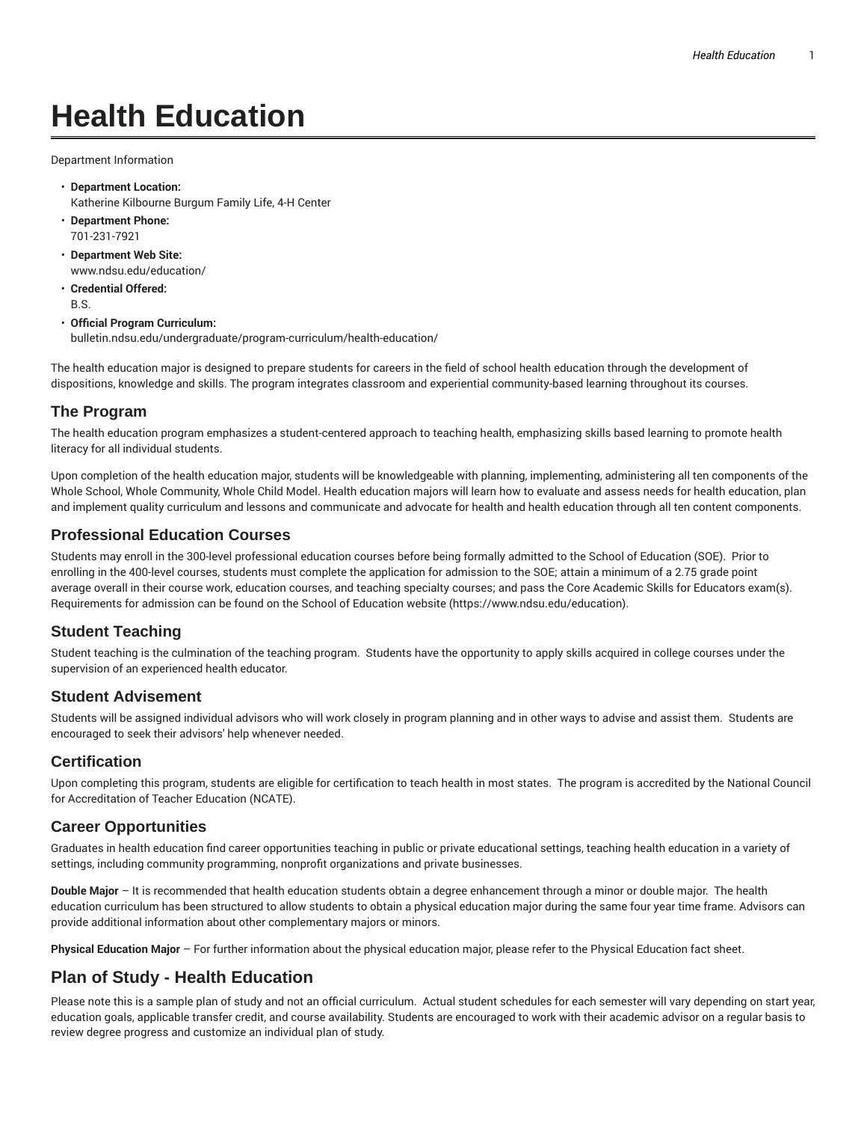# **Health Education**

Department Information

- **Department Location:** Katherine Kilbourne Burgum Family Life, 4-H Center
- **Department Phone:** 701-231-7921
- **Department Web Site:** www.ndsu.edu/education/
- **Credential Offered:** B.S.
- **Official Program Curriculum:** bulletin.ndsu.edu/undergraduate/program-curriculum/health-education/

The health education major is designed to prepare students for careers in the field of school health education through the development of dispositions, knowledge and skills. The program integrates classroom and experiential community-based learning throughout its courses.

### **The Program**

The health education program emphasizes a student-centered approach to teaching health, emphasizing skills based learning to promote health literacy for all individual students.

Upon completion of the health education major, students will be knowledgeable with planning, implementing, administering all ten components of the Whole School, Whole Community, Whole Child Model. Health education majors will learn how to evaluate and assess needs for health education, plan and implement quality curriculum and lessons and communicate and advocate for health and health education through all ten content components.

### **Professional Education Courses**

Students may enroll in the 300-level professional education courses before being formally admitted to the School of Education (SOE). Prior to enrolling in the 400-level courses, students must complete the application for admission to the SOE; attain a minimum of a 2.75 grade point average overall in their course work, education courses, and teaching specialty courses; and pass the Core Academic Skills for Educators exam(s). Requirements for admission can be found on the School of Education website (https://www.ndsu.edu/education).

# **Student Teaching**

Student teaching is the culmination of the teaching program. Students have the opportunity to apply skills acquired in college courses under the supervision of an experienced health educator.

#### **Student Advisement**

Students will be assigned individual advisors who will work closely in program planning and in other ways to advise and assist them. Students are encouraged to seek their advisors' help whenever needed.

#### **Certification**

Upon completing this program, students are eligible for certification to teach health in most states. The program is accredited by the National Council for Accreditation of Teacher Education (NCATE).

# **Career Opportunities**

Graduates in health education find career opportunities teaching in public or private educational settings, teaching health education in a variety of settings, including community programming, nonprofit organizations and private businesses.

**Double Major** – It is recommended that health education students obtain a degree enhancement through a minor or double major. The health education curriculum has been structured to allow students to obtain a physical education major during the same four year time frame. Advisors can provide additional information about other complementary majors or minors.

**Physical Education Major** – For further information about the physical education major, please refer to the Physical Education fact sheet.

# **Plan of Study - Health Education**

Please note this is a sample plan of study and not an official curriculum. Actual student schedules for each semester will vary depending on start year, education goals, applicable transfer credit, and course availability. Students are encouraged to work with their academic advisor on a regular basis to review degree progress and customize an individual plan of study.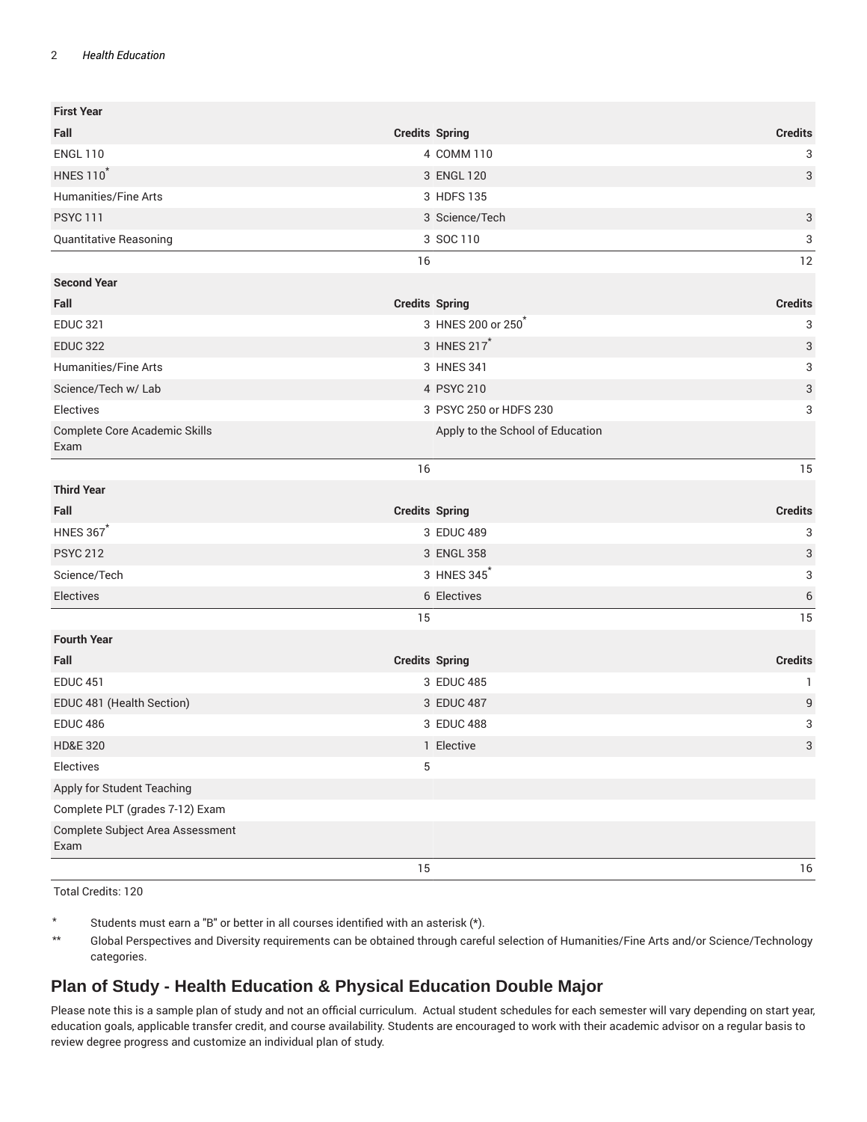#### 2 *Health Education*

| <b>First Year</b>                        |                                  |                           |
|------------------------------------------|----------------------------------|---------------------------|
| Fall                                     | <b>Credits Spring</b>            | <b>Credits</b>            |
| <b>ENGL 110</b>                          | 4 COMM 110                       | 3                         |
| <b>HNES 110</b>                          | 3 ENGL 120                       | 3                         |
| Humanities/Fine Arts                     | 3 HDFS 135                       |                           |
| <b>PSYC 111</b>                          | 3 Science/Tech                   | 3                         |
| Quantitative Reasoning                   | 3 SOC 110                        | 3                         |
|                                          | 16                               | 12                        |
| <b>Second Year</b>                       |                                  |                           |
| Fall                                     | <b>Credits Spring</b>            | <b>Credits</b>            |
| <b>EDUC 321</b>                          | 3 HNES 200 or 250                | 3                         |
| <b>EDUC 322</b>                          | 3 HNES 217 <sup>*</sup>          | $\ensuremath{\mathsf{3}}$ |
| <b>Humanities/Fine Arts</b>              | 3 HNES 341                       | 3                         |
| Science/Tech w/ Lab                      | 4 PSYC 210                       | $\ensuremath{\mathsf{3}}$ |
| Electives                                | 3 PSYC 250 or HDFS 230           | 3                         |
| Complete Core Academic Skills<br>Exam    | Apply to the School of Education |                           |
|                                          | 16                               | 15                        |
| <b>Third Year</b>                        |                                  |                           |
| Fall                                     | <b>Credits Spring</b>            | <b>Credits</b>            |
| <b>HNES 367*</b>                         | 3 EDUC 489                       | 3                         |
| <b>PSYC 212</b>                          | 3 ENGL 358                       | $\ensuremath{\mathsf{3}}$ |
| Science/Tech                             | 3 HNES 345                       | 3                         |
| Electives                                | 6 Electives                      | 6                         |
|                                          | 15                               | 15                        |
| <b>Fourth Year</b>                       |                                  |                           |
| Fall                                     | <b>Credits Spring</b>            | <b>Credits</b>            |
| <b>EDUC 451</b>                          | 3 EDUC 485                       | 1                         |
| EDUC 481 (Health Section)                | 3 EDUC 487                       | 9                         |
| <b>EDUC 486</b>                          | 3 EDUC 488                       | 3                         |
| <b>HD&amp;E 320</b>                      | 1 Elective                       | $\sqrt{3}$                |
| Electives                                | 5                                |                           |
| Apply for Student Teaching               |                                  |                           |
| Complete PLT (grades 7-12) Exam          |                                  |                           |
| Complete Subject Area Assessment<br>Exam |                                  |                           |
|                                          | 15                               | 16                        |

Total Credits: 120

\* Students must earn a "B" or better in all courses identified with an asterisk (\*).

\*\* Global Perspectives and Diversity requirements can be obtained through careful selection of Humanities/Fine Arts and/or Science/Technology categories.

# **Plan of Study - Health Education & Physical Education Double Major**

Please note this is a sample plan of study and not an official curriculum. Actual student schedules for each semester will vary depending on start year, education goals, applicable transfer credit, and course availability. Students are encouraged to work with their academic advisor on a regular basis to review degree progress and customize an individual plan of study.